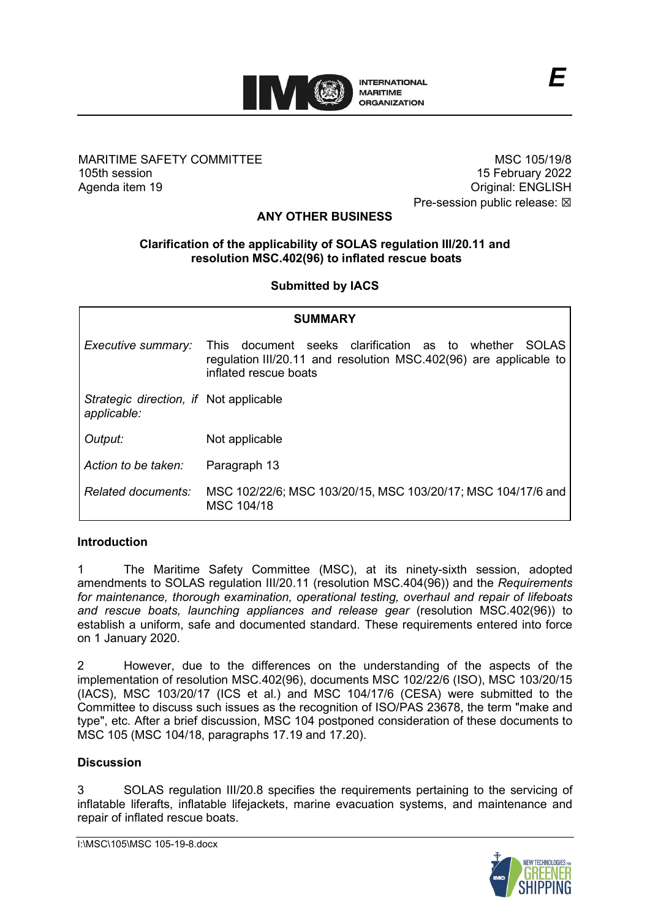

#### MARITIME SAFETY COMMITTEE 105th session Agenda item 19

MSC 105/19/8 15 February 2022 Original: ENGLISH Pre-session public release:  $\boxtimes$ 

# **ANY OTHER BUSINESS**

## **Clarification of the applicability of SOLAS regulation III/20.11 and resolution MSC.402(96) to inflated rescue boats**

### **Submitted by IACS**

| <b>SUMMARY</b>                                        |                                                                                                                                                                  |
|-------------------------------------------------------|------------------------------------------------------------------------------------------------------------------------------------------------------------------|
| Executive summary:                                    | document seeks clarification as to whether<br>This<br><b>SOLAS</b><br>regulation III/20.11 and resolution MSC.402(96) are applicable to<br>inflated rescue boats |
| Strategic direction, if Not applicable<br>applicable: |                                                                                                                                                                  |
| Output:                                               | Not applicable                                                                                                                                                   |
| Action to be taken:                                   | Paragraph 13                                                                                                                                                     |
| Related documents:                                    | MSC 102/22/6; MSC 103/20/15, MSC 103/20/17; MSC 104/17/6 and<br>MSC 104/18                                                                                       |

### **Introduction**

1 The Maritime Safety Committee (MSC), at its ninety-sixth session, adopted amendments to SOLAS regulation III/20.11 (resolution MSC.404(96)) and the *Requirements for maintenance, thorough examination, operational testing, overhaul and repair of lifeboats and rescue boats, launching appliances and release gear* (resolution MSC.402(96)) to establish a uniform, safe and documented standard. These requirements entered into force on 1 January 2020.

2 However, due to the differences on the understanding of the aspects of the implementation of resolution MSC.402(96), documents MSC 102/22/6 (ISO), MSC 103/20/15 (IACS), MSC 103/20/17 (ICS et al.) and MSC 104/17/6 (CESA) were submitted to the Committee to discuss such issues as the recognition of ISO/PAS 23678, the term "make and type", etc. After a brief discussion, MSC 104 postponed consideration of these documents to MSC 105 (MSC 104/18, paragraphs 17.19 and 17.20).

### **Discussion**

3 SOLAS regulation III/20.8 specifies the requirements pertaining to the servicing of inflatable liferafts, inflatable lifejackets, marine evacuation systems, and maintenance and repair of inflated rescue boats.

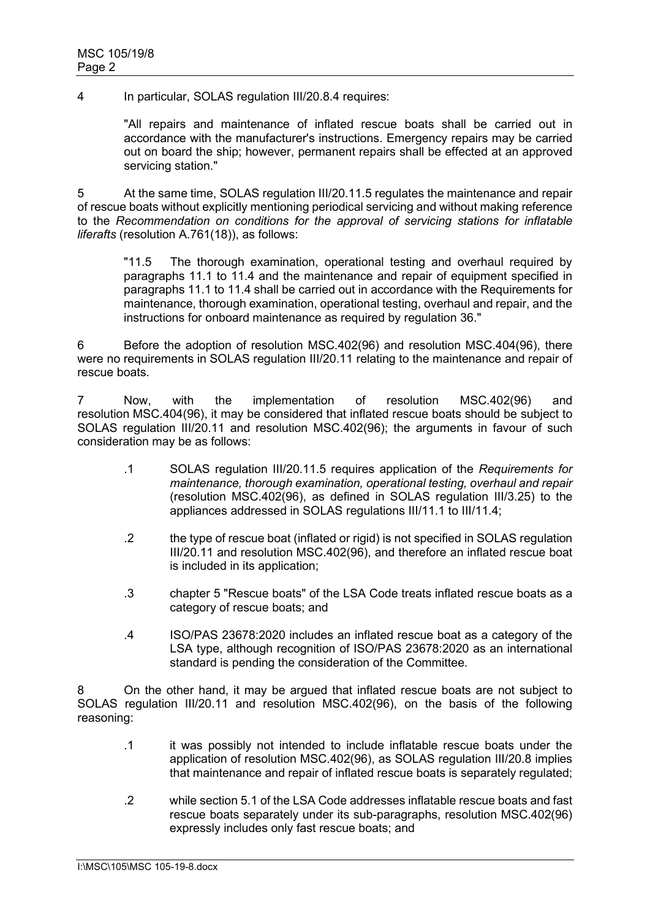4 In particular, SOLAS regulation III/20.8.4 requires:

"All repairs and maintenance of inflated rescue boats shall be carried out in accordance with the manufacturer's instructions. Emergency repairs may be carried out on board the ship; however, permanent repairs shall be effected at an approved servicing station."

5 At the same time, SOLAS regulation III/20.11.5 regulates the maintenance and repair of rescue boats without explicitly mentioning periodical servicing and without making reference to the *Recommendation on conditions for the approval of servicing stations for inflatable liferafts* (resolution A.761(18)), as follows:

"11.5 The thorough examination, operational testing and overhaul required by paragraphs 11.1 to 11.4 and the maintenance and repair of equipment specified in paragraphs 11.1 to 11.4 shall be carried out in accordance with the Requirements for maintenance, thorough examination, operational testing, overhaul and repair, and the instructions for onboard maintenance as required by regulation 36."

6 Before the adoption of resolution MSC.402(96) and resolution MSC.404(96), there were no requirements in SOLAS regulation III/20.11 relating to the maintenance and repair of rescue boats.

7 Now, with the implementation of resolution MSC.402(96) and resolution MSC.404(96), it may be considered that inflated rescue boats should be subject to SOLAS regulation III/20.11 and resolution MSC.402(96); the arguments in favour of such consideration may be as follows:

- .1 SOLAS regulation III/20.11.5 requires application of the *Requirements for maintenance, thorough examination, operational testing, overhaul and repair* (resolution MSC.402(96), as defined in SOLAS regulation III/3.25) to the appliances addressed in SOLAS regulations III/11.1 to III/11.4;
- .2 the type of rescue boat (inflated or rigid) is not specified in SOLAS regulation III/20.11 and resolution MSC.402(96), and therefore an inflated rescue boat is included in its application;
- .3 chapter 5 "Rescue boats" of the LSA Code treats inflated rescue boats as a category of rescue boats; and
- .4 ISO/PAS 23678:2020 includes an inflated rescue boat as a category of the LSA type, although recognition of ISO/PAS 23678:2020 as an international standard is pending the consideration of the Committee.

8 On the other hand, it may be argued that inflated rescue boats are not subject to SOLAS regulation III/20.11 and resolution MSC.402(96), on the basis of the following reasoning:

- .1 it was possibly not intended to include inflatable rescue boats under the application of resolution MSC.402(96), as SOLAS regulation III/20.8 implies that maintenance and repair of inflated rescue boats is separately regulated;
- .2 while section 5.1 of the LSA Code addresses inflatable rescue boats and fast rescue boats separately under its sub-paragraphs, resolution MSC.402(96) expressly includes only fast rescue boats; and